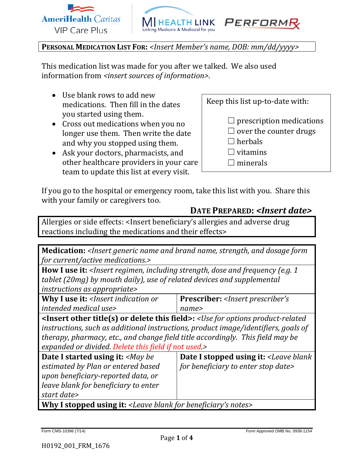





**PERSONAL MEDICATION LIST FOR:** *<Insert Member's name, DOB: mm/dd/yyyy>*

This medication list was made for you after we talked. We also used information from *<insert sources of information>*.

- Use blank rows to add new medications. Then fill in the dates you started using them.
- Cross out medications when you no longer use them. Then write the date and why you stopped using them.
- Ask your doctors, pharmacists, and other healthcare providers in your care team to update this list at every visit.

Keep this list up-to-date with:

- $\Box$  prescription medications
- $\Box$  over the counter drugs
- $\Box$  herbals
- $\Box$  vitamins
- $\Box$  minerals

If you go to the hospital or emergency room, take this list with you. Share this with your family or caregivers too.

## **DATE PREPARED:** *<Insert date>*

Allergies or side effects: <Insert beneficiary's allergies and adverse drug reactions including the medications and their effects>

**Medication:** *<Insert generic name and brand name, strength, and dosage form for current/active medications.>*

**How I use it:** *<Insert regimen, including strength, dose and frequency (e.g. 1 tablet (20mg) by mouth daily), use of related devices and supplemental instructions as appropriate>*

| Why I use it: <insert indication="" or<="" th=""><th><b>Prescriber:</b> &lt;<i>Insert prescriber's</i></th></insert> | <b>Prescriber:</b> < <i>Insert prescriber's</i> |
|----------------------------------------------------------------------------------------------------------------------|-------------------------------------------------|
| intended medical use>                                                                                                | name>                                           |
|                                                                                                                      |                                                 |

**<Insert other title(s) or delete this field>:** *<Use for options product-related instructions, such as additional instructions, product image/identifiers, goals of therapy, pharmacy, etc., and change field title accordingly. This field may be expanded or divided. Delete this field if not used.>*

| <b>Date I started using it:</b> < <i>May be</i>                                 | <b>Date I stopped using it:</b> <leave blank<="" th=""></leave> |  |  |
|---------------------------------------------------------------------------------|-----------------------------------------------------------------|--|--|
| estimated by Plan or entered based                                              | for beneficiary to enter stop date>                             |  |  |
| upon beneficiary-reported data, or                                              |                                                                 |  |  |
| leave blank for beneficiary to enter                                            |                                                                 |  |  |
| start date>                                                                     |                                                                 |  |  |
| When I stand of respect $L$ , I squalled for lease finite $\alpha$ and $\alpha$ |                                                                 |  |  |

**Why I stopped using it:** *<Leave blank for beneficiary's notes>*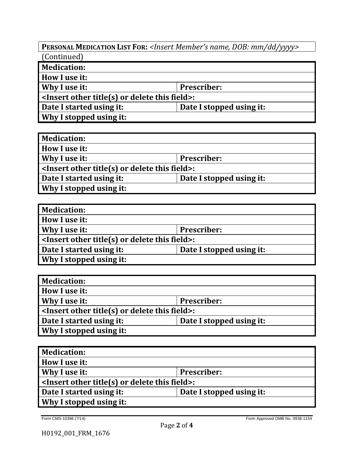**PERSONAL MEDICATION LIST FOR:** *<Insert Member's name, DOB: mm/dd/yyyy>* (Continued)

| <b>Medication:</b>                                                               |                          |  |  |
|----------------------------------------------------------------------------------|--------------------------|--|--|
| How I use it:                                                                    |                          |  |  |
| Why I use it:<br><b>Prescriber:</b>                                              |                          |  |  |
| $\vert$ <insert delete="" field="" or="" other="" this="" title(s)="">:</insert> |                          |  |  |
| Date I started using it:                                                         | Date I stopped using it: |  |  |
| Why I stopped using it:                                                          |                          |  |  |

| <b>Medication:</b>                                 |                          |  |  |
|----------------------------------------------------|--------------------------|--|--|
| How I use it:                                      |                          |  |  |
| Why I use it:                                      | <b>Prescriber:</b>       |  |  |
| $\le$ Insert other title(s) or delete this field>: |                          |  |  |
| Date I started using it:                           | Date I stopped using it: |  |  |
| Why I stopped using it:                            |                          |  |  |

| <b>Medication:</b>                                  |                          |  |  |
|-----------------------------------------------------|--------------------------|--|--|
| How I use it:                                       |                          |  |  |
| Why I use it:<br><b>Prescriber:</b>                 |                          |  |  |
| $\sim$ Insert other title(s) or delete this field>: |                          |  |  |
| Date I started using it:                            | Date I stopped using it: |  |  |
| Why I stopped using it:                             |                          |  |  |

| <b>Medication:</b>                                 |                          |  |  |
|----------------------------------------------------|--------------------------|--|--|
| How I use it:                                      |                          |  |  |
| Why I use it:                                      | <b>Prescriber:</b>       |  |  |
| $\le$ Insert other title(s) or delete this field>: |                          |  |  |
| Date I started using it:                           | Date I stopped using it: |  |  |
| Why I stopped using it:                            |                          |  |  |

| <b>Medication:</b>                                 |                          |  |  |
|----------------------------------------------------|--------------------------|--|--|
| How I use it:                                      |                          |  |  |
| Why I use it:<br><b>Prescriber:</b>                |                          |  |  |
| $\le$ Insert other title(s) or delete this field>: |                          |  |  |
| Date I started using it:                           | Date I stopped using it: |  |  |
| Why I stopped using it:                            |                          |  |  |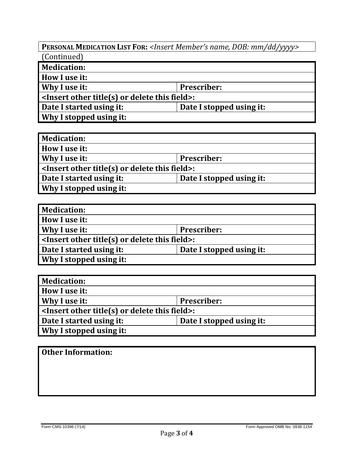**PERSONAL MEDICATION LIST FOR:** *<Insert Member's name, DOB: mm/dd/yyyy>* (Continued)

| <b>Medication:</b>                                  |                          |  |  |
|-----------------------------------------------------|--------------------------|--|--|
| How I use it:                                       |                          |  |  |
| Why I use it:<br><b>Prescriber:</b>                 |                          |  |  |
| $\sim$ Insert other title(s) or delete this field>: |                          |  |  |
| Date I started using it:                            | Date I stopped using it: |  |  |
| Why I stopped using it:                             |                          |  |  |

| <b>Medication:</b>                                 |                          |  |  |
|----------------------------------------------------|--------------------------|--|--|
| How I use it:                                      |                          |  |  |
| Why I use it:<br><b>Prescriber:</b>                |                          |  |  |
| $\le$ Insert other title(s) or delete this field>: |                          |  |  |
| Date I started using it:                           | Date I stopped using it: |  |  |
| Why I stopped using it:                            |                          |  |  |

| <b>Medication:</b>                                 |                          |  |  |
|----------------------------------------------------|--------------------------|--|--|
| How I use it:                                      |                          |  |  |
| Why I use it:<br><b>Prescriber:</b>                |                          |  |  |
| $\le$ Insert other title(s) or delete this field>: |                          |  |  |
| Date I started using it:                           | Date I stopped using it: |  |  |
| Why I stopped using it:                            |                          |  |  |

| <b>Medication:</b>                                 |                          |  |  |
|----------------------------------------------------|--------------------------|--|--|
| How I use it:                                      |                          |  |  |
| Why I use it:                                      | <b>Prescriber:</b>       |  |  |
| $\le$ Insert other title(s) or delete this field>: |                          |  |  |
| Date I started using it:                           | Date I stopped using it: |  |  |
| Why I stopped using it:                            |                          |  |  |

| <b>Other Information:</b> |  |  |  |
|---------------------------|--|--|--|
|                           |  |  |  |
|                           |  |  |  |
|                           |  |  |  |